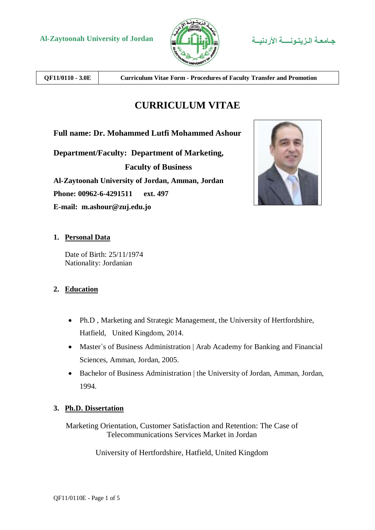



**QF11/0110 - 3.0E Curriculum Vitae Form - Procedures of Faculty Transfer and Promotion**

# **CURRICULUM VITAE**

**Full name: Dr. Mohammed Lutfi Mohammed Ashour**

**Department/Faculty: Department of Marketing, Faculty of Business Al-Zaytoonah University of Jordan, Amman, Jordan Phone: 00962-6-4291511 ext. 497 E-mail: m.ashour@zuj.edu.jo**



# **1. Personal Data**

Date of Birth: 25/11/1974 Nationality: Jordanian

# **2. Education**

- Ph.D , Marketing and Strategic Management, the University of Hertfordshire, Hatfield, United Kingdom, 2014.
- Master`s of Business Administration | Arab Academy for Banking and Financial Sciences, Amman, Jordan, 2005.
- Bachelor of Business Administration | the University of Jordan, Amman, Jordan, 1994.

# **3. Ph.D. Dissertation**

Marketing Orientation, Customer Satisfaction and Retention: The Case of Telecommunications Services Market in Jordan

University of Hertfordshire, Hatfield, United Kingdom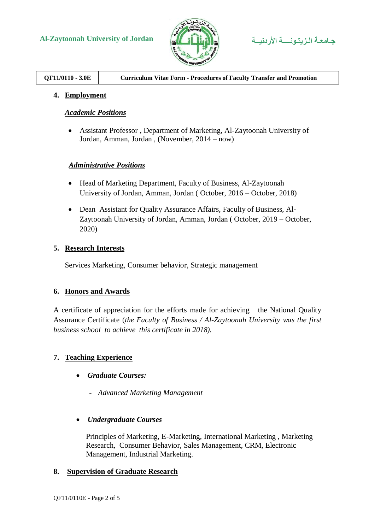



# **4. Employment**

### *Academic Positions*

 Assistant Professor , Department of Marketing, Al-Zaytoonah University of Jordan, Amman, Jordan , (November, 2014 – now)

# *Administrative Positions*

- Head of Marketing Department, Faculty of Business, Al-Zaytoonah University of Jordan, Amman, Jordan ( October, 2016 – October, 2018)
- Dean Assistant for Quality Assurance Affairs, Faculty of Business, Al-Zaytoonah University of Jordan, Amman, Jordan ( October, 2019 – October, 2020)

# **5. Research Interests**

Services Marketing, Consumer behavior, Strategic management

#### **6. Honors and Awards**

A certificate of appreciation for the efforts made for achieving the National Quality Assurance Certificate (*the Faculty of Business / Al-Zaytoonah University was the first business school to achieve this certificate in 2018).*

# **7. Teaching Experience**

- *Graduate Courses:* 
	- *Advanced Marketing Management*
- *Undergraduate Courses*

Principles of Marketing, E-Marketing, International Marketing , Marketing Research, Consumer Behavior, Sales Management, CRM, Electronic Management, Industrial Marketing.

#### **8. Supervision of Graduate Research**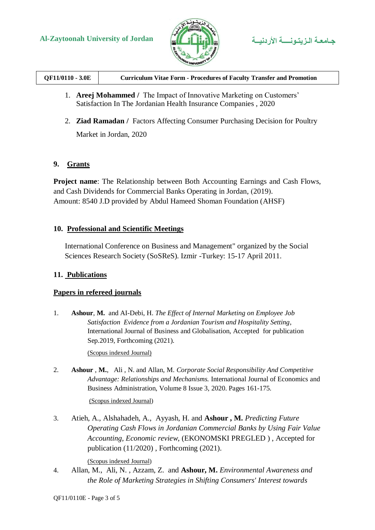



| QF11/0110 - 3.0E<br><b>Curriculum Vitae Form - Procedures of Faculty Transfer and Promotion</b> |
|-------------------------------------------------------------------------------------------------|
|-------------------------------------------------------------------------------------------------|

- 1. **Areej Mohammed /** The Impact of Innovative Marketing on Customers' Satisfaction In The Jordanian Health Insurance Companies , 2020
- 2. **Ziad Ramadan /** Factors Affecting Consumer Purchasing Decision for Poultry Market in Jordan, 2020

# **9. Grants**

**Project name**: The Relationship between Both Accounting Earnings and Cash Flows, and Cash Dividends for Commercial Banks Operating in Jordan, (2019). Amount: 8540 J.D provided by Abdul Hameed Shoman Foundation (AHSF)

# **10. Professional and Scientific Meetings**

International Conference on Business and Management" organized by the Social Sciences Research Society (SoSReS). Izmir -Turkey: 15-17 April 2011.

# **11. Publications**

#### **Papers in refereed journals**

1. **Ashour**, **M.** and AI-Debi, H. *The Effect of Internal Marketing on Employee Job Satisfaction Evidence from a Jordanian Tourism and Hospitality Setting*, International Journal of Business and Globalisation, Accepted for publication Sep.2019, Forthcoming (2021).

(Scopus indexed Journal)

2. **Ashour** , **M.**, Ali , N. and Allan, M. *Corporate Social Responsibility And Competitive Advantage: Relationships and Mechanisms.* International Journal of Economics and Business Administration, Volume 8 Issue 3, 2020. Pages 161-175.

#### (Scopus indexed Journal)

3. Atieh, A., Alshahadeh, A., Ayyash, H. and **Ashour , M.** *Predicting Future Operating Cash Flows in Jordanian Commercial Banks by Using Fair Value Accounting, Economic review*, (EKONOMSKI PREGLED ) , Accepted for publication (11/2020) , Forthcoming (2021).

(Scopus indexed Journal)

4. Allan, M., Ali, N. , Azzam, Z. and **Ashour, M.** *Environmental Awareness and the Role of Marketing Strategies in Shifting Consumers' Interest towards*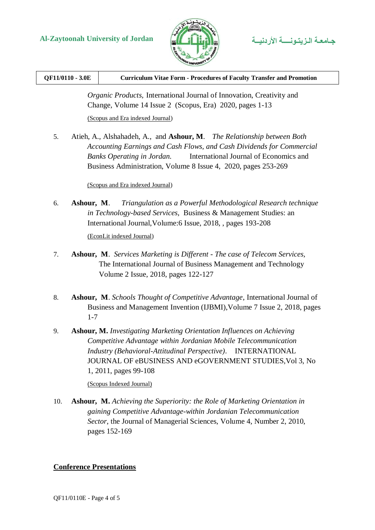



| QF11/0110 - 3.0E | <b>Curriculum Vitae Form - Procedures of Faculty Transfer and Promotion</b> |
|------------------|-----------------------------------------------------------------------------|
|                  |                                                                             |

*Organic Products,* International Journal of Innovation, Creativity and Change, Volume 14 Issue 2 (Scopus, Era) 2020, pages 1-13 (Scopus and Era indexed Journal)

5. Atieh, A., Alshahadeh, A., and **Ashour, M**. *The Relationship between Both Accounting Earnings and Cash Flows, and Cash Dividends for Commercial Banks Operating in Jordan.* International Journal of Economics and Business Administration, Volume 8 Issue 4, 2020, pages 253-269

(Scopus and Era indexed Journal)

6. **Ashour, M**. *Triangulation as a Powerful Methodological Research technique in Technology-based Services*, Business & Management Studies: an International Journal,Volume:6 Issue, 2018, , pages 193-208

(EconLit indexed Journal)

- 7. **Ashour, M**. *Services Marketing is Different - The case of Telecom Services,* The International Journal of Business Management and Technology Volume 2 Issue, 2018, pages 122-127
- 8. **Ashour, M**. *Schools Thought of Competitive Advantage*, International Journal of Business and Management Invention (IJBMI),Volume 7 Issue 2, 2018, pages 1-7
- 9. **Ashour, M.** *Investigating Marketing Orientation Influences on Achieving Competitive Advantage within Jordanian Mobile Telecommunication Industry (Behavioral-Attitudinal Perspective)*. INTERNATIONAL JOURNAL OF eBUSINESS AND eGOVERNMENT STUDIES,Vol 3, No 1, 2011, pages 99-108

(Scopus Indexed Journal)

10. **Ashour, M.** *Achieving the Superiority: the Role of Marketing Orientation in gaining Competitive Advantage-within Jordanian Telecommunication Sector*, the Journal of Managerial Sciences, Volume 4, Number 2, 2010, pages 152-169

# **Conference Presentations**